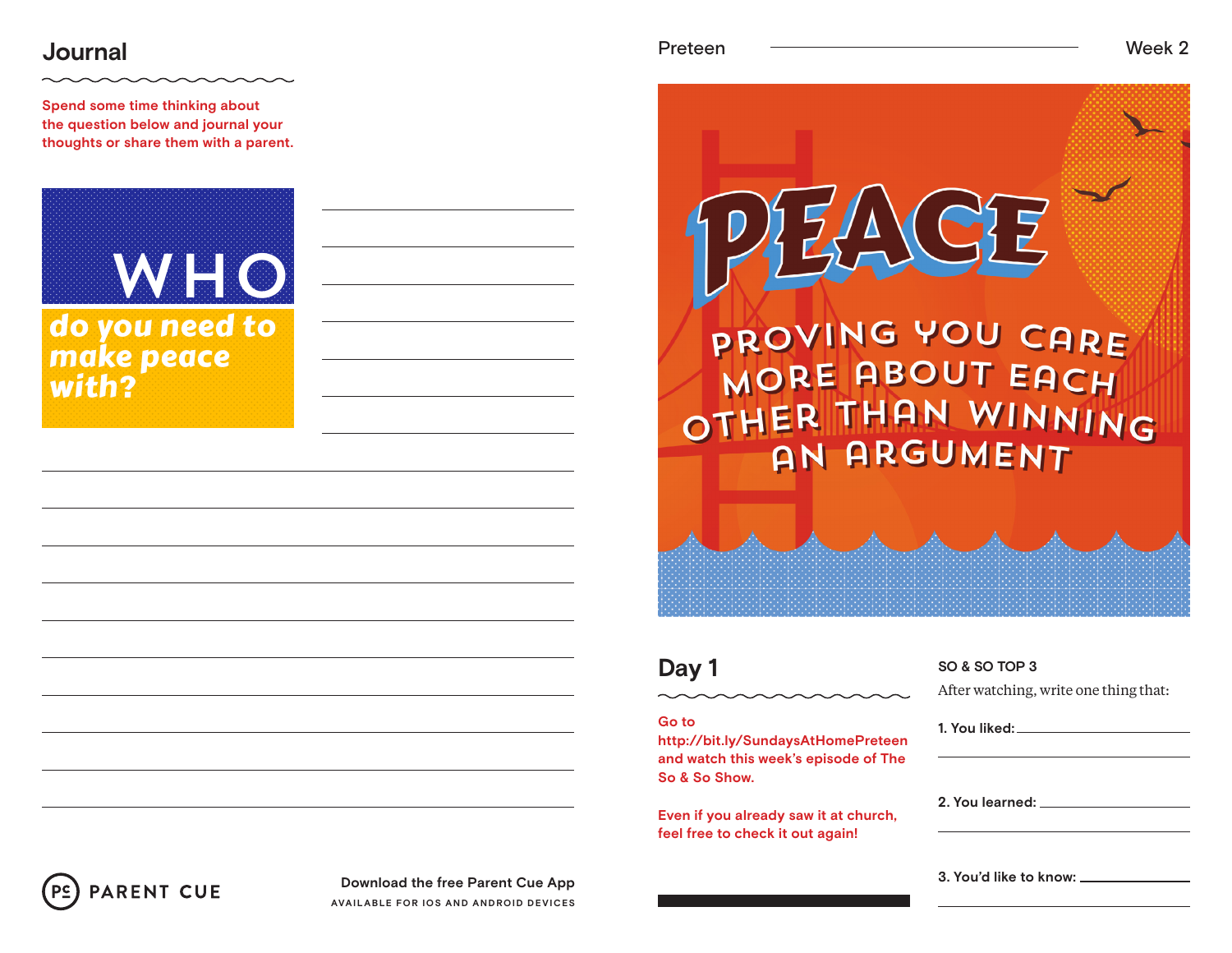# **Journal** Week 2

**Spend some time thinking about the question below and journal your thoughts or share them with a parent.**





### **Go to**

**http://bit.ly/SundaysAtHomePreteen and watch this week's episode of The So & So Show.**

**Even if you already saw it at church, feel free to check it out again!**

# **SO & SO TOP 3**

**PROVING YOU CARE** 

MORE ABOUT EACH

OTHER THAN WINNING

**AN ARGUMENT** 

After watching, write one thing that:

**1. You liked: 2. You learned:** 

**3. You'd like to know:**



**Download the free Parent Cue App AVAILABLE FOR IOS AND ANDROID DEVICES**